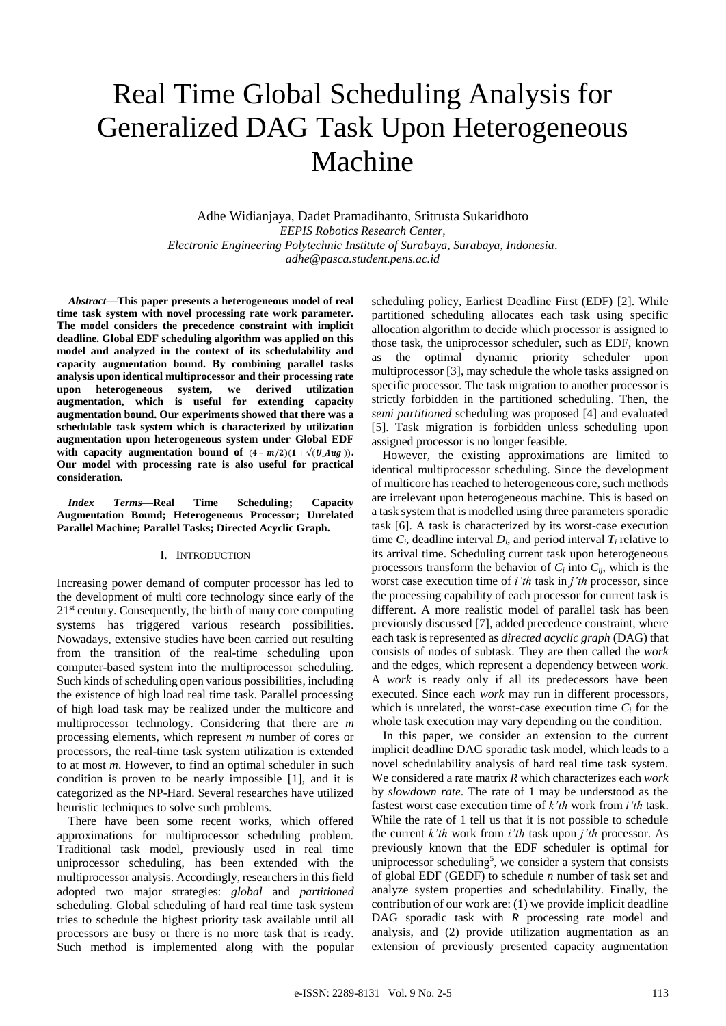# Real Time Global Scheduling Analysis for Generalized DAG Task Upon Heterogeneous Machine

Adhe Widianjaya, Dadet Pramadihanto, Sritrusta Sukaridhoto *EEPIS Robotics Research Center, Electronic Engineering Polytechnic Institute of Surabaya, Surabaya, Indonesia. adhe@pasca.student.pens.ac.id*

*Abstract***—This paper presents a heterogeneous model of real time task system with novel processing rate work parameter. The model considers the precedence constraint with implicit deadline. Global EDF scheduling algorithm was applied on this model and analyzed in the context of its schedulability and capacity augmentation bound. By combining parallel tasks analysis upon identical multiprocessor and their processing rate upon heterogeneous system, we derived utilization augmentation, which is useful for extending capacity augmentation bound. Our experiments showed that there was a schedulable task system which is characterized by utilization augmentation upon heterogeneous system under Global EDF**  with capacity augmentation bound of  $(4 - m/2)(1 + \sqrt{(U_A u_B)})$ . **Our model with processing rate is also useful for practical consideration.**

*Index Terms***—Real Time Scheduling; Capacity Augmentation Bound; Heterogeneous Processor; Unrelated Parallel Machine; Parallel Tasks; Directed Acyclic Graph.**

# I. INTRODUCTION

Increasing power demand of computer processor has led to the development of multi core technology since early of the 21<sup>st</sup> century. Consequently, the birth of many core computing systems has triggered various research possibilities. Nowadays, extensive studies have been carried out resulting from the transition of the real-time scheduling upon computer-based system into the multiprocessor scheduling. Such kinds of scheduling open various possibilities, including the existence of high load real time task. Parallel processing of high load task may be realized under the multicore and multiprocessor technology. Considering that there are *m*  processing elements, which represent *m* number of cores or processors, the real-time task system utilization is extended to at most *m*. However, to find an optimal scheduler in such condition is proven to be nearly impossible [1], and it is categorized as the NP-Hard. Several researches have utilized heuristic techniques to solve such problems.

There have been some recent works, which offered approximations for multiprocessor scheduling problem. Traditional task model, previously used in real time uniprocessor scheduling, has been extended with the multiprocessor analysis. Accordingly, researchers in this field adopted two major strategies: *global* and *partitioned* scheduling. Global scheduling of hard real time task system tries to schedule the highest priority task available until all processors are busy or there is no more task that is ready. Such method is implemented along with the popular scheduling policy, Earliest Deadline First (EDF) [2]. While partitioned scheduling allocates each task using specific allocation algorithm to decide which processor is assigned to those task, the uniprocessor scheduler, such as EDF, known as the optimal dynamic priority scheduler upon multiprocessor [3], may schedule the whole tasks assigned on specific processor. The task migration to another processor is strictly forbidden in the partitioned scheduling. Then, the *semi partitioned* scheduling was proposed [4] and evaluated [5]. Task migration is forbidden unless scheduling upon assigned processor is no longer feasible.

However, the existing approximations are limited to identical multiprocessor scheduling. Since the development of multicore has reached to heterogeneous core, such methods are irrelevant upon heterogeneous machine. This is based on a task system that is modelled using three parameters sporadic task [6]. A task is characterized by its worst-case execution time  $C_i$ , deadline interval  $D_i$ , and period interval  $T_i$  relative to its arrival time. Scheduling current task upon heterogeneous processors transform the behavior of  $C_i$  into  $C_{ii}$ , which is the worst case execution time of *i'th* task in *j'th* processor, since the processing capability of each processor for current task is different. A more realistic model of parallel task has been previously discussed [7], added precedence constraint, where each task is represented as *directed acyclic graph* (DAG) that consists of nodes of subtask. They are then called the *work* and the edges, which represent a dependency between *work*. A *work* is ready only if all its predecessors have been executed. Since each *work* may run in different processors, which is unrelated, the worst-case execution time  $C_i$  for the whole task execution may vary depending on the condition.

In this paper, we consider an extension to the current implicit deadline DAG sporadic task model, which leads to a novel schedulability analysis of hard real time task system. We considered a rate matrix *R* which characterizes each *work*  by *slowdown rate*. The rate of 1 may be understood as the fastest worst case execution time of *k'th* work from *i'th* task. While the rate of 1 tell us that it is not possible to schedule the current *k'th* work from *i'th* task upon *j'th* processor. As previously known that the EDF scheduler is optimal for uniprocessor scheduling<sup>5</sup>, we consider a system that consists of global EDF (GEDF) to schedule *n* number of task set and analyze system properties and schedulability. Finally, the contribution of our work are: (1) we provide implicit deadline DAG sporadic task with *R* processing rate model and analysis, and (2) provide utilization augmentation as an extension of previously presented capacity augmentation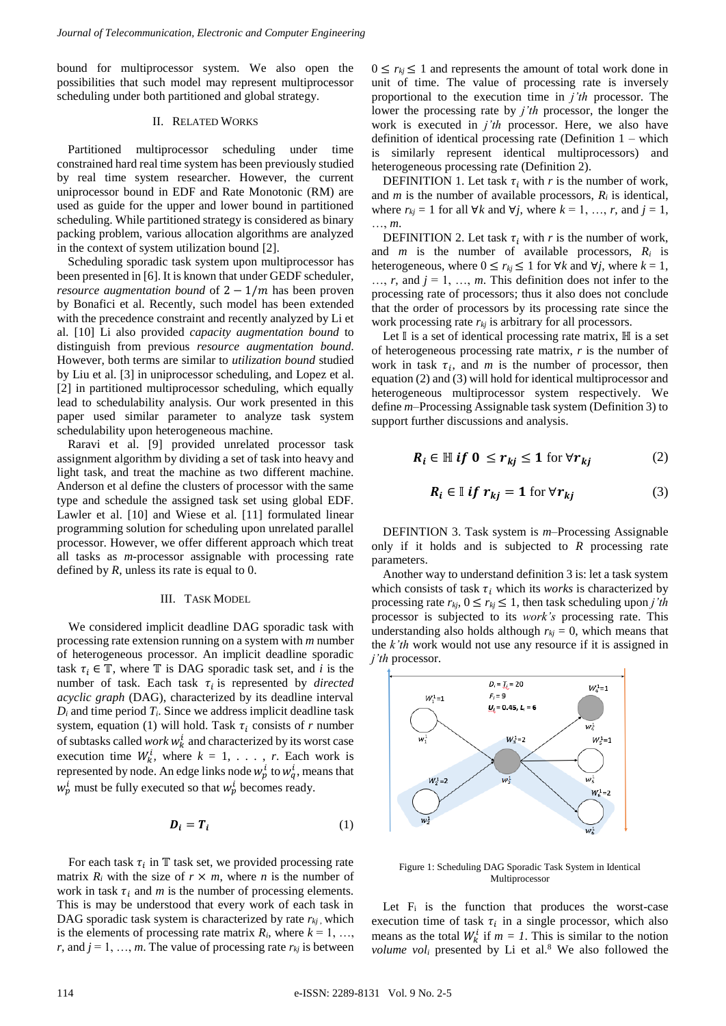bound for multiprocessor system. We also open the possibilities that such model may represent multiprocessor scheduling under both partitioned and global strategy.

### II. RELATED WORKS

Partitioned multiprocessor scheduling under time constrained hard real time system has been previously studied by real time system researcher. However, the current uniprocessor bound in EDF and Rate Monotonic (RM) are used as guide for the upper and lower bound in partitioned scheduling. While partitioned strategy is considered as binary packing problem, various allocation algorithms are analyzed in the context of system utilization bound [2].

Scheduling sporadic task system upon multiprocessor has been presented in [6]. It is known that under GEDF scheduler, *resource augmentation bound* of  $2 - 1/m$  has been proven by Bonafici et al. Recently, such model has been extended with the precedence constraint and recently analyzed by Li et al. [10] Li also provided *capacity augmentation bound* to distinguish from previous *resource augmentation bound*. However, both terms are similar to *utilization bound* studied by Liu et al. [3] in uniprocessor scheduling, and Lopez et al. [2] in partitioned multiprocessor scheduling, which equally lead to schedulability analysis. Our work presented in this paper used similar parameter to analyze task system schedulability upon heterogeneous machine.

Raravi et al. [9] provided unrelated processor task assignment algorithm by dividing a set of task into heavy and light task, and treat the machine as two different machine. Anderson et al define the clusters of processor with the same type and schedule the assigned task set using global EDF. Lawler et al. [10] and Wiese et al. [11] formulated linear programming solution for scheduling upon unrelated parallel processor. However, we offer different approach which treat all tasks as *m-*processor assignable with processing rate defined by *R*, unless its rate is equal to 0.

## III. TASK MODEL

We considered implicit deadline DAG sporadic task with processing rate extension running on a system with *m* number of heterogeneous processor. An implicit deadline sporadic task  $\tau_i \in \mathbb{T}$ , where  $\mathbb{T}$  is DAG sporadic task set, and *i* is the number of task. Each task  $\tau_i$  is represented by *directed acyclic graph* (DAG), characterized by its deadline interval  $D_i$  and time period  $T_i$ . Since we address implicit deadline task system, equation (1) will hold. Task  $\tau_i$  consists of *r* number of subtasks called *work*  $w_k^i$  and characterized by its worst case execution time  $W_k^i$ , where  $k = 1, \ldots, r$ . Each work is represented by node. An edge links node  $w_p^i$  to  $w_q^i$ , means that  $w_p^i$  must be fully executed so that  $w_p^i$  becomes ready.

$$
D_i = T_i \tag{1}
$$

For each task  $\tau_i$  in  $\mathbb T$  task set, we provided processing rate matrix  $R_i$  with the size of  $r \times m$ , where *n* is the number of work in task  $\tau_i$  and *m* is the number of processing elements. This is may be understood that every work of each task in DAG sporadic task system is characterized by rate  $r_{ki}$ , which is the elements of processing rate matrix  $R_i$ , where  $k = 1, \ldots,$ *r*, and  $j = 1, \ldots, m$ . The value of processing rate  $r_{kj}$  is between

 $0 \le r_{kj} \le 1$  and represents the amount of total work done in unit of time. The value of processing rate is inversely proportional to the execution time in *j'th* processor. The lower the processing rate by *j'th* processor, the longer the work is executed in *j'th* processor. Here, we also have definition of identical processing rate (Definition 1 – which is similarly represent identical multiprocessors) and heterogeneous processing rate (Definition 2).

DEFINITION 1. Let task  $\tau_i$  with r is the number of work, and  $m$  is the number of available processors,  $R_i$  is identical, where  $r_{kj} = 1$  for all  $\forall k$  and  $\forall j$ , where  $k = 1, ..., r$ , and  $j = 1$ , …, *m*.

DEFINITION 2. Let task  $\tau_i$  with *r* is the number of work, and *m* is the number of available processors, *R<sup>i</sup>* is heterogeneous, where  $0 \le r_{kj} \le 1$  for  $\forall k$  and  $\forall j$ , where  $k = 1$ ,  $..., r$ , and  $j = 1, ..., m$ . This definition does not infer to the processing rate of processors; thus it also does not conclude that the order of processors by its processing rate since the work processing rate *rkj* is arbitrary for all processors.

Let  $\mathbb I$  is a set of identical processing rate matrix,  $\mathbb H$  is a set of heterogeneous processing rate matrix, *r* is the number of work in task  $\tau_i$ , and *m* is the number of processor, then equation (2) and (3) will hold for identical multiprocessor and heterogeneous multiprocessor system respectively. We define *m*–Processing Assignable task system (Definition 3) to support further discussions and analysis.

$$
R_i \in \mathbb{H} \text{ if } 0 \le r_{kj} \le 1 \text{ for } \forall r_{kj} \tag{2}
$$

$$
R_i \in \mathbb{I} \text{ if } r_{kj} = 1 \text{ for } \forall r_{kj} \tag{3}
$$

DEFINTION 3. Task system is *m*–Processing Assignable only if it holds and is subjected to *R* processing rate parameters.

Another way to understand definition 3 is: let a task system which consists of task  $\tau_i$  which its *works* is characterized by processing rate  $r_{kj}$ ,  $0 \le r_{kj} \le 1$ , then task scheduling upon *j'th* processor is subjected to its *work's* processing rate. This understanding also holds although  $r_{kj} = 0$ , which means that the *k'th* work would not use any resource if it is assigned in *j'th* processor*.*



Figure 1: Scheduling DAG Sporadic Task System in Identical Multiprocessor

Let  $F_i$  is the function that produces the worst-case execution time of task  $\tau_i$  in a single processor, which also means as the total  $W_k^i$  if  $m = 1$ . This is similar to the notion *volume vol<sup>i</sup>* presented by Li et al. <sup>8</sup> We also followed the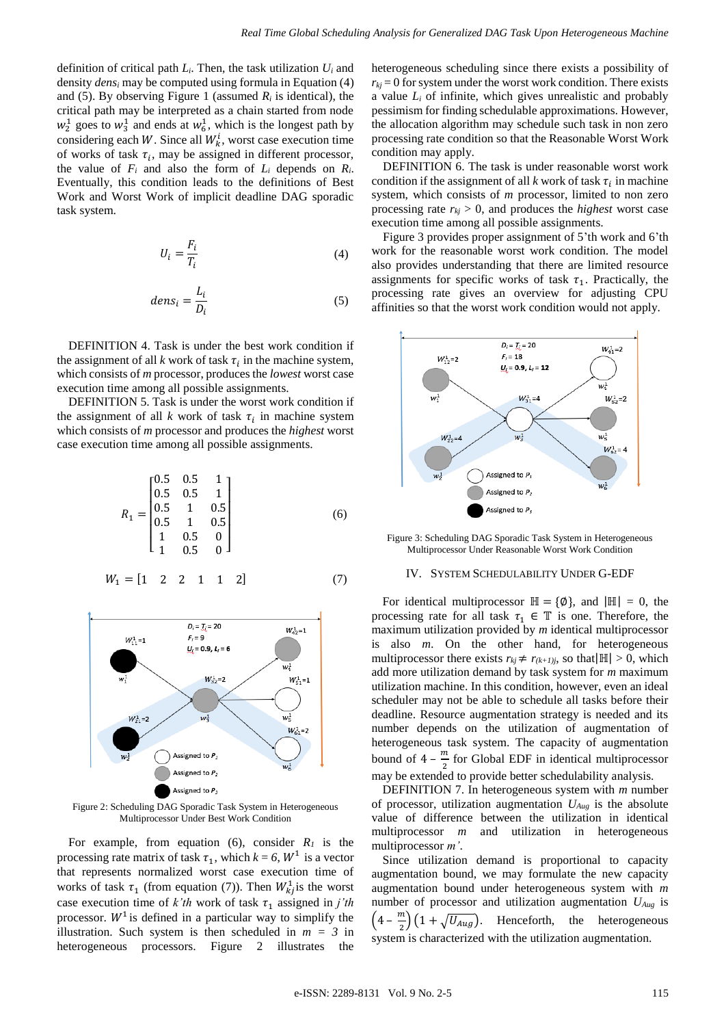definition of critical path  $L_i$ . Then, the task utilization  $U_i$  and density *dens<sup>i</sup>* may be computed using formula in Equation (4) and (5). By observing Figure 1 (assumed  $R_i$  is identical), the critical path may be interpreted as a chain started from node  $w_2^1$  goes to  $w_3^1$  and ends at  $w_6^1$ , which is the longest path by considering each W. Since all  $W_k^i$ , worst case execution time of works of task  $\tau_i$ , may be assigned in different processor, the value of  $F_i$  and also the form of  $L_i$  depends on  $R_i$ . Eventually, this condition leads to the definitions of Best Work and Worst Work of implicit deadline DAG sporadic task system.

$$
U_i = \frac{F_i}{T_i} \tag{4}
$$

$$
dens_i = \frac{L_i}{D_i} \tag{5}
$$

DEFINITION 4. Task is under the best work condition if the assignment of all  $k$  work of task  $\tau_i$  in the machine system, which consists of *m* processor, produces the *lowest* worst case execution time among all possible assignments.

DEFINITION 5. Task is under the worst work condition if the assignment of all  $k$  work of task  $\tau_i$  in machine system which consists of *m* processor and produces the *highest* worst case execution time among all possible assignments.

$$
R_1 = \begin{bmatrix} 0.5 & 0.5 & 1 \\ 0.5 & 0.5 & 1 \\ 0.5 & 1 & 0.5 \\ 0.5 & 1 & 0.5 \\ 1 & 0.5 & 0 \\ 1 & 0.5 & 0 \end{bmatrix}
$$
(6)  

$$
W_1 = \begin{bmatrix} 1 & 2 & 2 & 1 & 1 & 2 \end{bmatrix}
$$
(7)



Figure 2: Scheduling DAG Sporadic Task System in Heterogeneous Multiprocessor Under Best Work Condition

For example, from equation (6), consider  $R_I$  is the processing rate matrix of task  $\tau_1$ , which  $k = 6$ ,  $W^1$  is a vector that represents normalized worst case execution time of works of task  $\tau_1$  (from equation (7)). Then  $W_{kj}^1$  is the worst case execution time of  $k'th$  work of task  $\tau_1$  assigned in *j'th* processor.  $W^1$  is defined in a particular way to simplify the illustration. Such system is then scheduled in  $m = 3$  in heterogeneous processors. Figure 2 illustrates the

heterogeneous scheduling since there exists a possibility of  $r_{ki}$  = 0 for system under the worst work condition. There exists a value *L<sup>i</sup>* of infinite, which gives unrealistic and probably pessimism for finding schedulable approximations*.* However, the allocation algorithm may schedule such task in non zero processing rate condition so that the Reasonable Worst Work condition may apply.

DEFINITION 6. The task is under reasonable worst work condition if the assignment of all  $k$  work of task  $\tau_i$  in machine system, which consists of *m* processor, limited to non zero processing rate  $r_{ki} > 0$ , and produces the *highest* worst case execution time among all possible assignments.

Figure 3 provides proper assignment of 5'th work and 6'th work for the reasonable worst work condition. The model also provides understanding that there are limited resource assignments for specific works of task  $\tau_1$ . Practically, the processing rate gives an overview for adjusting CPU affinities so that the worst work condition would not apply.



Figure 3: Scheduling DAG Sporadic Task System in Heterogeneous Multiprocessor Under Reasonable Worst Work Condition

#### IV. SYSTEM SCHEDULABILITY UNDER G-EDF

For identical multiprocessor  $\mathbb{H} = \{ \emptyset \}$ , and  $|\mathbb{H}| = 0$ , the processing rate for all task  $\tau_1 \in \mathbb{T}$  is one. Therefore, the maximum utilization provided by *m* identical multiprocessor is also *m*. On the other hand, for heterogeneous multiprocessor there exists  $r_{kj} \neq r_{(k+1)j}$ , so that  $|\mathbb{H}| > 0$ , which add more utilization demand by task system for *m* maximum utilization machine. In this condition, however, even an ideal scheduler may not be able to schedule all tasks before their deadline. Resource augmentation strategy is needed and its number depends on the utilization of augmentation of heterogeneous task system. The capacity of augmentation bound of  $4 - \frac{m}{2}$  $\frac{m}{2}$  for Global EDF in identical multiprocessor may be extended to provide better schedulability analysis.

DEFINITION 7. In heterogeneous system with *m* number of processor, utilization augmentation *UAug* is the absolute value of difference between the utilization in identical multiprocessor *m* and utilization in heterogeneous multiprocessor *m'*.

Since utilization demand is proportional to capacity augmentation bound, we may formulate the new capacity augmentation bound under heterogeneous system with *m*  number of processor and utilization augmentation *UAug* is  $\left(4-\frac{m}{2}\right)$  $\frac{m}{2}$  $(1 + \sqrt{U_{Aug}})$ . Henceforth, the heterogeneous system is characterized with the utilization augmentation.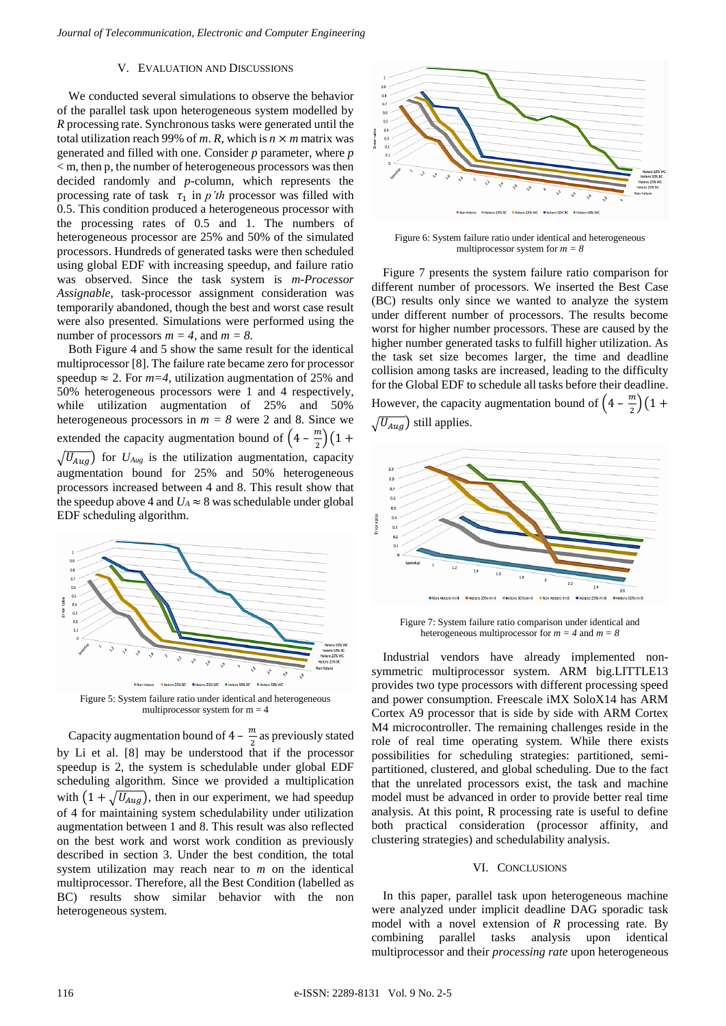# V. EVALUATION AND DISCUSSIONS

We conducted several simulations to observe the behavior of the parallel task upon heterogeneous system modelled by *R* processing rate. Synchronous tasks were generated until the total utilization reach 99% of *m*. *R*, which is  $n \times m$  matrix was generated and filled with one. Consider *p* parameter, where *p*  < m, then p, the number of heterogeneous processors was then decided randomly and *p-*column, which represents the processing rate of task  $\tau_1$  in *p'th* processor was filled with 0.5. This condition produced a heterogeneous processor with the processing rates of 0.5 and 1. The numbers of heterogeneous processor are 25% and 50% of the simulated processors. Hundreds of generated tasks were then scheduled using global EDF with increasing speedup, and failure ratio was observed. Since the task system is *m-Processor Assignable*, task-processor assignment consideration was temporarily abandoned, though the best and worst case result were also presented. Simulations were performed using the number of processors  $m = 4$ , and  $m = 8$ .

Both Figure 4 and 5 show the same result for the identical multiprocessor [8]. The failure rate became zero for processor speedup  $\approx$  2. For  $m=4$ , utilization augmentation of 25% and 50% heterogeneous processors were 1 and 4 respectively, while utilization augmentation of 25% and 50% heterogeneous processors in  $m = 8$  were 2 and 8. Since we extended the capacity augmentation bound of  $\left(4-\frac{m}{a}\right)$  $\frac{\pi}{2}$  $(1 +$  $\sqrt{U_{Aug}}$ ) for  $U_{Aug}$  is the utilization augmentation, capacity augmentation bound for 25% and 50% heterogeneous processors increased between 4 and 8. This result show that the speedup above 4 and  $U_A \approx 8$  was schedulable under global EDF scheduling algorithm.



multiprocessor system for  $m = 4$ 

Capacity augmentation bound of  $4 - \frac{m}{2}$  $\frac{\pi}{2}$  as previously stated by Li et al. [8] may be understood that if the processor speedup is 2, the system is schedulable under global EDF scheduling algorithm. Since we provided a multiplication with  $(1 + \sqrt{U_{Aug}})$ , then in our experiment, we had speedup of 4 for maintaining system schedulability under utilization augmentation between 1 and 8. This result was also reflected on the best work and worst work condition as previously described in section 3. Under the best condition, the total system utilization may reach near to *m* on the identical multiprocessor. Therefore, all the Best Condition (labelled as BC) results show similar behavior with the non heterogeneous system.



Figure 6: System failure ratio under identical and heterogeneous multiprocessor system for *m = 8*

Figure 7 presents the system failure ratio comparison for different number of processors. We inserted the Best Case (BC) results only since we wanted to analyze the system under different number of processors. The results become worst for higher number processors. These are caused by the higher number generated tasks to fulfill higher utilization. As the task set size becomes larger, the time and deadline collision among tasks are increased, leading to the difficulty for the Global EDF to schedule all tasks before their deadline. However, the capacity augmentation bound of  $\left(4-\frac{m}{2}\right)$  $\frac{\pi}{2}$  $(1 +$  $\sqrt{U_{Auq}}$ ) still applies.



Figure 7: System failure ratio comparison under identical and heterogeneous multiprocessor for  $m = 4$  and  $m = 8$ 

Industrial vendors have already implemented nonsymmetric multiprocessor system. ARM big.LITTLE13 provides two type processors with different processing speed and power consumption. Freescale iMX SoloX14 has ARM Cortex A9 processor that is side by side with ARM Cortex M4 microcontroller. The remaining challenges reside in the role of real time operating system. While there exists possibilities for scheduling strategies: partitioned, semipartitioned, clustered, and global scheduling. Due to the fact that the unrelated processors exist, the task and machine model must be advanced in order to provide better real time analysis. At this point, R processing rate is useful to define both practical consideration (processor affinity, and clustering strategies) and schedulability analysis.

#### VI. CONCLUSIONS

In this paper, parallel task upon heterogeneous machine were analyzed under implicit deadline DAG sporadic task model with a novel extension of *R* processing rate. By combining parallel tasks analysis upon identical multiprocessor and their *processing rate* upon heterogeneous